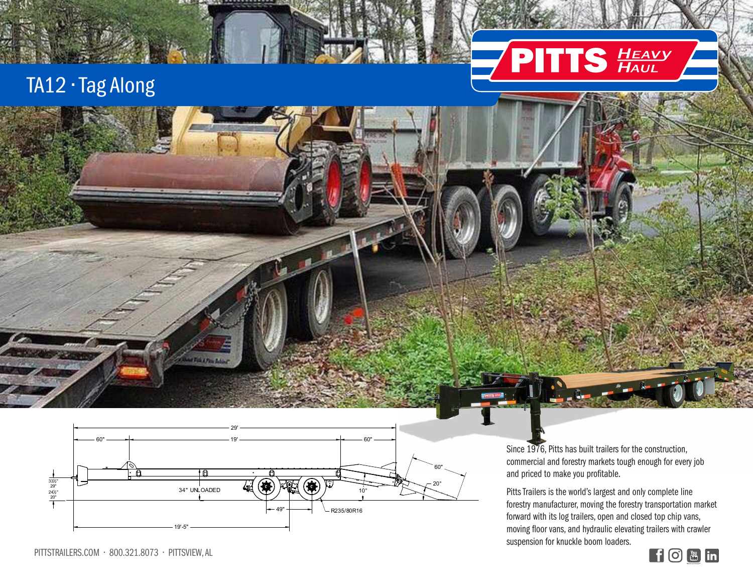## TA12 • Tag Along



**WATER PROJECT** 

PITTS Trailers

Since 1976

Since 1976, Pitts has built trailers for the construction, commercial and forestry markets tough enough for every job and priced to make you profitable.

**PITTS HEAVY** 

Pitts Trailers is the world's largest and only complete line forestry manufacturer, moving the forestry transportation market forward with its log trailers, open and closed top chip vans, moving floor vans, and hydraulic elevating trailers with crawler suspension for knuckle boom loaders.